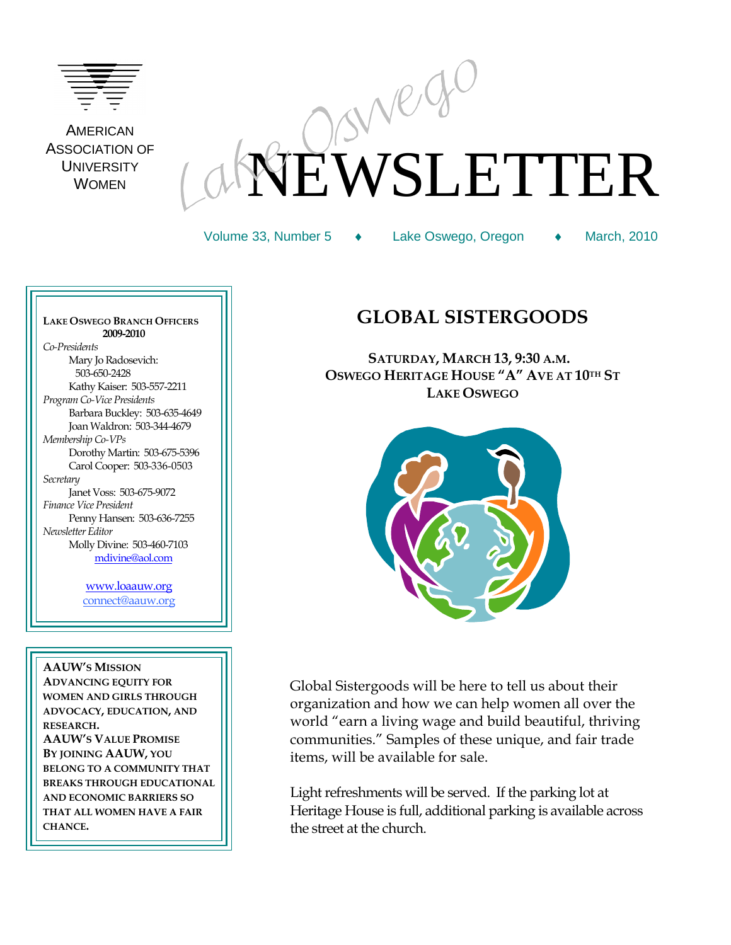

AMERICAN ASSOCIATION OF **UNIVERSITY** WOMEN

# EWSLETTER

Volume 33, Number 5 ◆ Lake Oswego, Oregon ◆ March, 2010

**LAKE OSWEGO BRANCH OFFICERS 2009-2010** *Co-Presidents* Mary Jo Radosevich: 503-650-2428 Kathy Kaiser: 503-557-2211 *Program Co-Vice Presidents* Barbara Buckley: 503-635-4649 Joan Waldron: 503-344-4679 *Membership Co-VPs* Dorothy Martin: 503-675-5396 Carol Cooper: 503-336-0503 *Secretary* Janet Voss: 503-675-9072 *Finance Vice President*  Penny Hansen: 503-636-7255 *Newsletter Editor* Molly Divine: 503-460-7103 [mdivine@aol.com](mailto:mdivine@aol.com)

> [www.loaauw.org](http://www.loaauw.org/) connect@aauw.org

**AAUW'S MISSION ADVANCING EQUITY FOR WOMEN AND GIRLS THROUGH ADVOCACY, EDUCATION, AND RESEARCH. AAUW'S VALUE PROMISE BY JOINING AAUW, YOU BELONG TO A COMMUNITY THAT BREAKS THROUGH EDUCATIONAL AND ECONOMIC BARRIERS SO THAT ALL WOMEN HAVE A FAIR CHANCE.**

# **GLOBAL SISTERGOODS**

 **SATURDAY, MARCH 13, 9:30 A.M. OSWEGO HERITAGE HOUSE "A" AVE AT 10TH ST LAKE OSWEGO**



Global Sistergoods will be here to tell us about their organization and how we can help women all over the world "earn a living wage and build beautiful, thriving communities." Samples of these unique, and fair trade items, will be available for sale.

Light refreshments will be served. If the parking lot at Heritage House is full, additional parking is available across the street at the church.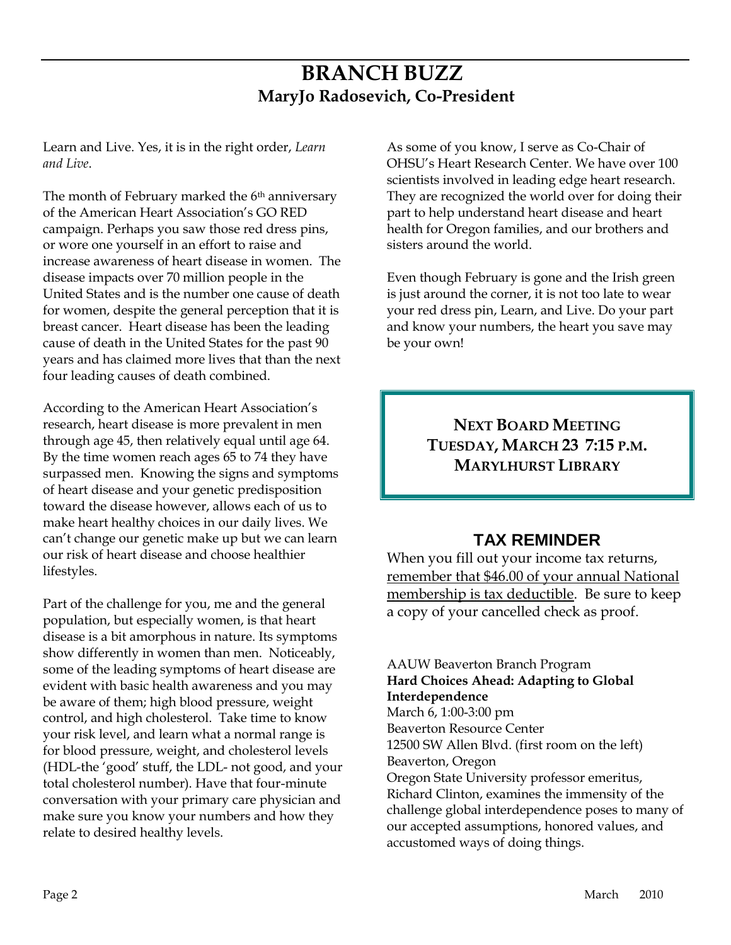# **BRANCH BUZZ MaryJo Radosevich, Co-President**

Learn and Live. Yes, it is in the right order, *Learn and Live*.

The month of February marked the 6<sup>th</sup> anniversary of the American Heart Association's GO RED campaign. Perhaps you saw those red dress pins, or wore one yourself in an effort to raise and increase awareness of heart disease in women. The disease impacts over 70 million people in the United States and is the number one cause of death for women, despite the general perception that it is breast cancer. Heart disease has been the leading cause of death in the United States for the past 90 years and has claimed more lives that than the next four leading causes of death combined.

According to the American Heart Association's research, heart disease is more prevalent in men through age 45, then relatively equal until age 64. By the time women reach ages 65 to 74 they have surpassed men. Knowing the signs and symptoms of heart disease and your genetic predisposition toward the disease however, allows each of us to make heart healthy choices in our daily lives. We can't change our genetic make up but we can learn our risk of heart disease and choose healthier lifestyles.

Part of the challenge for you, me and the general population, but especially women, is that heart disease is a bit amorphous in nature. Its symptoms show differently in women than men. Noticeably, some of the leading symptoms of heart disease are evident with basic health awareness and you may be aware of them; high blood pressure, weight control, and high cholesterol. Take time to know your risk level, and learn what a normal range is for blood pressure, weight, and cholesterol levels (HDL-the 'good' stuff, the LDL- not good, and your total cholesterol number). Have that four-minute conversation with your primary care physician and make sure you know your numbers and how they relate to desired healthy levels.

As some of you know, I serve as Co-Chair of OHSU's Heart Research Center. We have over 100 scientists involved in leading edge heart research. They are recognized the world over for doing their part to help understand heart disease and heart health for Oregon families, and our brothers and sisters around the world.

Even though February is gone and the Irish green is just around the corner, it is not too late to wear your red dress pin, Learn, and Live. Do your part and know your numbers, the heart you save may be your own!

# **NEXT BOARD MEETING TUESDAY, MARCH 23 7:15 P.M. MARYLHURST LIBRARY**

# **TAX REMINDER**

When you fill out your income tax returns, remember that \$46.00 of your annual National membership is tax deductible. Be sure to keep a copy of your cancelled check as proof.

## AAUW Beaverton Branch Program **Hard Choices Ahead: Adapting to Global Interdependence**

March 6, 1:00-3:00 pm Beaverton Resource Center 12500 SW Allen Blvd. (first room on the left) Beaverton, Oregon Oregon State University professor emeritus, Richard Clinton, examines the immensity of the challenge global interdependence poses to many of our accepted assumptions, honored values, and accustomed ways of doing things.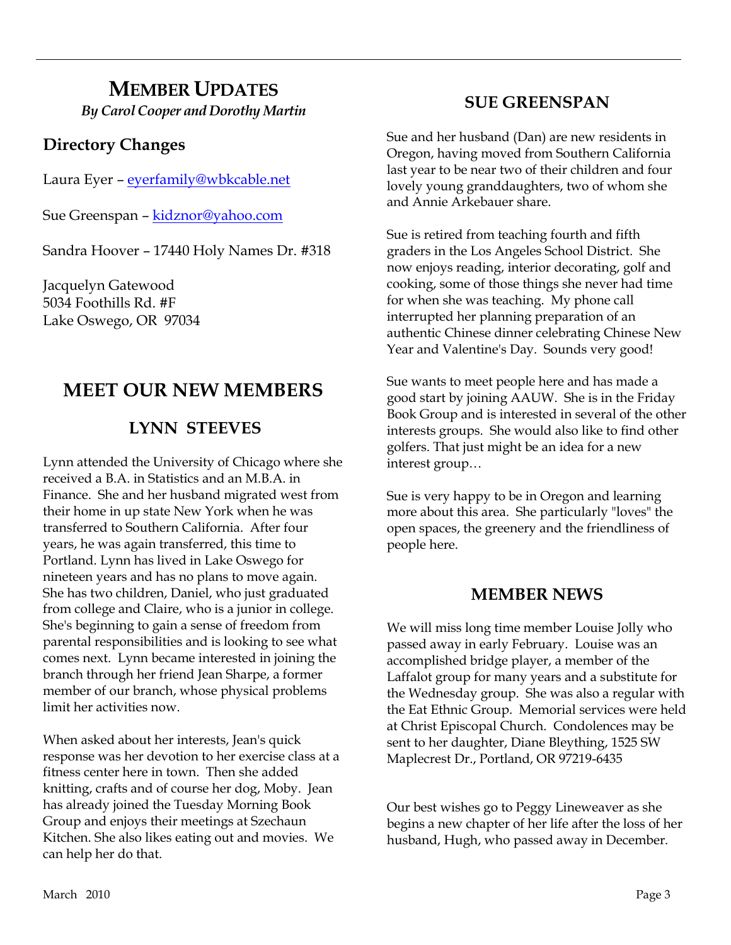# **MEMBER UPDATES** *By Carol Cooper and Dorothy Martin*

# **Directory Changes**

Laura Eyer – [eyerfamily@wbkcable.net](mailto:eyerfamily@wbkcable.net)

Sue Greenspan - [kidznor@yahoo.com](mailto:kidznor@yahoo.com)

Sandra Hoover – 17440 Holy Names Dr. #318

Jacquelyn Gatewood 5034 Foothills Rd. #F Lake Oswego, OR 97034

# **MEET OUR NEW MEMBERS**

# **LYNN STEEVES**

Lynn attended the University of Chicago where she received a B.A. in Statistics and an M.B.A. in Finance. She and her husband migrated west from their home in up state New York when he was transferred to Southern California. After four years, he was again transferred, this time to Portland. Lynn has lived in Lake Oswego for nineteen years and has no plans to move again. She has two children, Daniel, who just graduated from college and Claire, who is a junior in college. She's beginning to gain a sense of freedom from parental responsibilities and is looking to see what comes next. Lynn became interested in joining the branch through her friend Jean Sharpe, a former member of our branch, whose physical problems limit her activities now.

When asked about her interests, Jean's quick response was her devotion to her exercise class at a fitness center here in town. Then she added knitting, crafts and of course her dog, Moby. Jean has already joined the Tuesday Morning Book Group and enjoys their meetings at Szechaun Kitchen. She also likes eating out and movies. We can help her do that.

# **SUE GREENSPAN**

Sue and her husband (Dan) are new residents in Oregon, having moved from Southern California last year to be near two of their children and four lovely young granddaughters, two of whom she and Annie Arkebauer share.

Sue is retired from teaching fourth and fifth graders in the Los Angeles School District. She now enjoys reading, interior decorating, golf and cooking, some of those things she never had time for when she was teaching. My phone call interrupted her planning preparation of an authentic Chinese dinner celebrating Chinese New Year and Valentine's Day. Sounds very good!

Sue wants to meet people here and has made a good start by joining AAUW. She is in the Friday Book Group and is interested in several of the other interests groups. She would also like to find other golfers. That just might be an idea for a new interest group…

Sue is very happy to be in Oregon and learning more about this area. She particularly "loves" the open spaces, the greenery and the friendliness of people here.

## **MEMBER NEWS**

We will miss long time member Louise Jolly who passed away in early February. Louise was an accomplished bridge player, a member of the Laffalot group for many years and a substitute for the Wednesday group. She was also a regular with the Eat Ethnic Group. Memorial services were held at Christ Episcopal Church. Condolences may be sent to her daughter, Diane Bleything, 1525 SW Maplecrest Dr., Portland, OR 97219-6435

Our best wishes go to Peggy Lineweaver as she begins a new chapter of her life after the loss of her husband, Hugh, who passed away in December.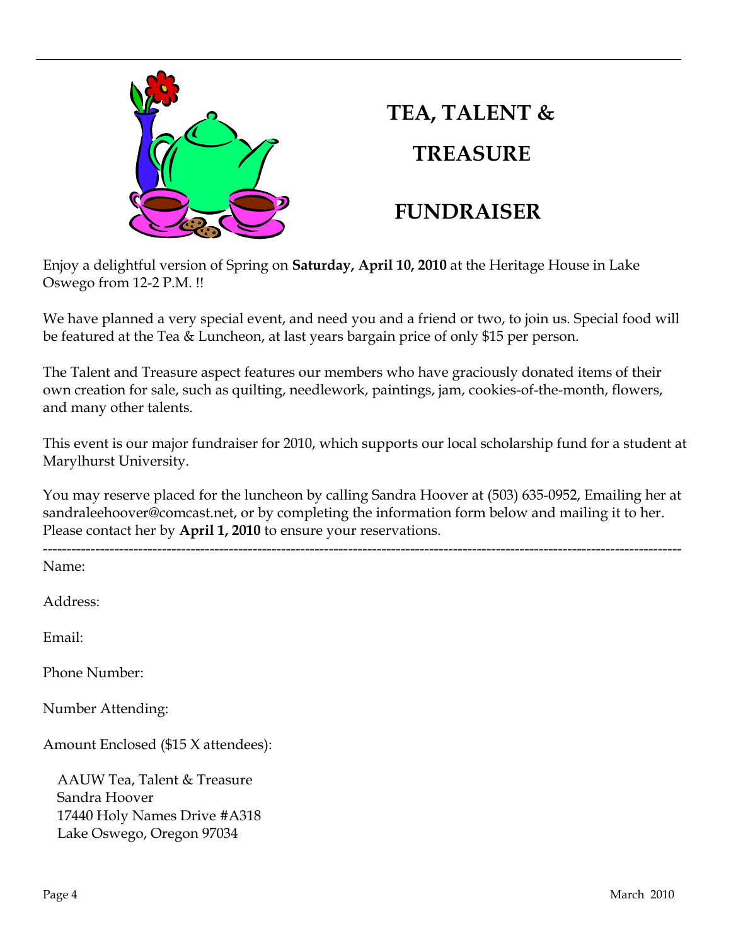

# **TEA, TALENT & TREASURE**

# **FUNDRAISER**

Enjoy a delightful version of Spring on **Saturday, April 10, 2010** at the Heritage House in Lake Oswego from 12-2 P.M. !!

We have planned a very special event, and need you and a friend or two, to join us. Special food will be featured at the Tea & Luncheon, at last years bargain price of only \$15 per person.

The Talent and Treasure aspect features our members who have graciously donated items of their own creation for sale, such as quilting, needlework, paintings, jam, cookies-of-the-month, flowers, and many other talents.

This event is our major fundraiser for 2010, which supports our local scholarship fund for a student at Marylhurst University.

You may reserve placed for the luncheon by calling Sandra Hoover at (503) 635-0952, Emailing her at sandraleehoover@comcast.net, or by completing the information form below and mailing it to her. Please contact her by **April 1, 2010** to ensure your reservations.

-------------------------------------------------------------------------------------------------------------------------------------- Name: Address:

Email:

Phone Number:

Number Attending:

Amount Enclosed (\$15 X attendees):

AAUW Tea, Talent & Treasure Sandra Hoover 17440 Holy Names Drive #A318 Lake Oswego, Oregon 97034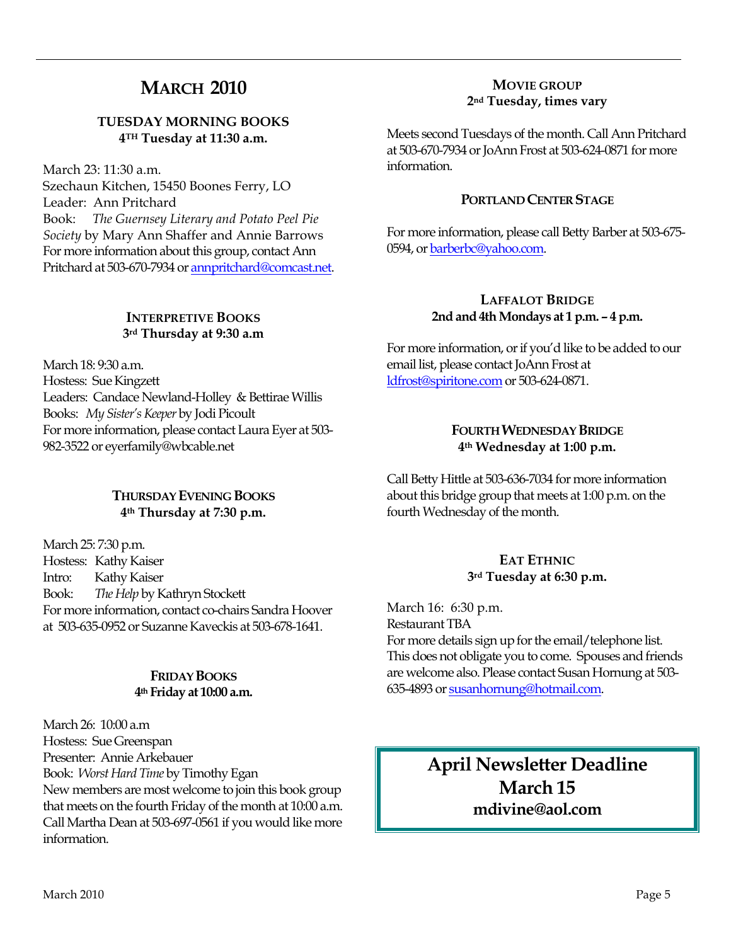# **MARCH 2010**

#### **TUESDAY MORNING BOOKS 4TH Tuesday at 11:30 a.m.**

March 23: 11:30 a.m.

Szechaun Kitchen, 15450 Boones Ferry, LO Leader: Ann Pritchard Book: *The Guernsey Literary and Potato Peel Pie Society* by Mary Ann Shaffer and Annie Barrows For more information about this group, contact Ann Pritchard at 503-670-7934 o[r annpritchard@comcast.net.](mailto:annpritchard@comcast.net)

## **INTERPRETIVE BOOKS 3rd Thursday at 9:30 a.m**

March 18: 9:30 a.m. Hostess: Sue Kingzett Leaders: Candace Newland-Holley & Bettirae Willis Books: *My Sister's Keeper* by Jodi Picoult For more information, please contact Laura Eyer at 503- 982-3522 or eyerfamily@wbcable.net

## **THURSDAY EVENING BOOKS 4th Thursday at 7:30 p.m.**

March 25: 7:30 p.m. Hostess: Kathy Kaiser Intro: Kathy Kaiser Book: *The Help* by Kathryn Stockett For more information, contact co-chairs Sandra Hoover at 503-635-0952 or Suzanne Kaveckis at 503-678-1641.

## **FRIDAY BOOKS 4th Friday at 10:00 a.m.**

March 26: 10:00 a.m Hostess: Sue Greenspan Presenter: Annie Arkebauer Book: *Worst Hard Time* by Timothy Egan New members are most welcome to join this book group that meets on the fourth Friday of the month at 10:00 a.m. Call Martha Dean at 503-697-0561 if you would like more information.

## **MOVIE GROUP 2nd Tuesday, times vary**

Meets second Tuesdays of the month. Call Ann Pritchard at 503-670-7934 or JoAnn Frost at 503-624-0871 for more information.

## **PORTLAND CENTER STAGE**

For more information, please call Betty Barber at 503-675- 0594, or barberbc@yahoo.com.

## **LAFFALOT BRIDGE 2nd and 4th Mondays at 1 p.m. – 4 p.m.**

For more information, or if you'd like to be added to our email list, please contact JoAnn Frost at [ldfrost@spiritone.com](mailto:ldfrost@spiritone.com) or 503-624-0871.

#### **FOURTH WEDNESDAY BRIDGE 4th Wednesday at 1:00 p.m.**

Call Betty Hittle at 503-636-7034 for more information about this bridge group that meets at 1:00 p.m. on the fourth Wednesday of the month.

## **EAT ETHNIC 3rd Tuesday at 6:30 p.m.**

March 16: 6:30 p.m. Restaurant TBA For more details sign up for the email/telephone list. This does not obligate you to come. Spouses and friends are welcome also. Please contact Susan Hornung at 503- 635-4893 o[r susanhornung@hotmail.com.](http://mailcenter.comcast.net/wmc/v/wm/45FDFA22000D96810000035A22007503309B9D0E08050C01049B0A020E06?cmd=ComposeTo&adr=susanhornung%40hotmail%2Ecom&sid=c0) 

> **April Newsletter Deadline March 15 mdivine@aol.com**